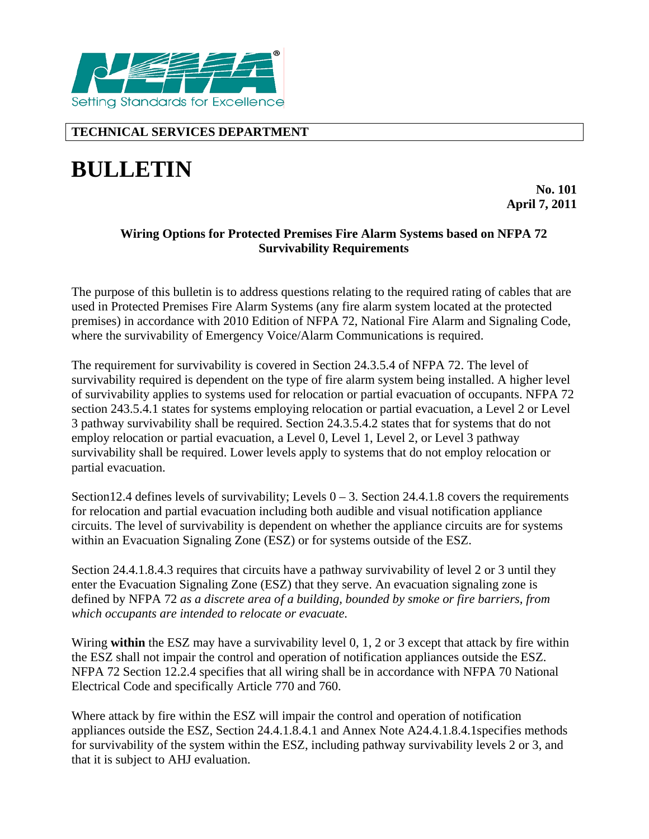

# **TECHNICAL SERVICES DEPARTMENT**

# **BULLETIN**

**No. 101 April 7, 2011** 

### **Wiring Options for Protected Premises Fire Alarm Systems based on NFPA 72 Survivability Requirements**

The purpose of this bulletin is to address questions relating to the required rating of cables that are used in Protected Premises Fire Alarm Systems (any fire alarm system located at the protected premises) in accordance with 2010 Edition of NFPA 72, National Fire Alarm and Signaling Code, where the survivability of Emergency Voice/Alarm Communications is required.

The requirement for survivability is covered in Section 24.3.5.4 of NFPA 72. The level of survivability required is dependent on the type of fire alarm system being installed. A higher level of survivability applies to systems used for relocation or partial evacuation of occupants. NFPA 72 section 243.5.4.1 states for systems employing relocation or partial evacuation, a Level 2 or Level 3 pathway survivability shall be required. Section 24.3.5.4.2 states that for systems that do not employ relocation or partial evacuation, a Level 0, Level 1, Level 2, or Level 3 pathway survivability shall be required. Lower levels apply to systems that do not employ relocation or partial evacuation.

Section12.4 defines levels of survivability; Levels  $0 - 3$ . Section 24.4.1.8 covers the requirements for relocation and partial evacuation including both audible and visual notification appliance circuits. The level of survivability is dependent on whether the appliance circuits are for systems within an Evacuation Signaling Zone (ESZ) or for systems outside of the ESZ.

Section 24.4.1.8.4.3 requires that circuits have a pathway survivability of level 2 or 3 until they enter the Evacuation Signaling Zone (ESZ) that they serve. An evacuation signaling zone is defined by NFPA 72 *as a discrete area of a building, bounded by smoke or fire barriers, from which occupants are intended to relocate or evacuate.*

Wiring **within** the ESZ may have a survivability level 0, 1, 2 or 3 except that attack by fire within the ESZ shall not impair the control and operation of notification appliances outside the ESZ. NFPA 72 Section 12.2.4 specifies that all wiring shall be in accordance with NFPA 70 National Electrical Code and specifically Article 770 and 760.

Where attack by fire within the ESZ will impair the control and operation of notification appliances outside the ESZ, Section 24.4.1.8.4.1 and Annex Note A24.4.1.8.4.1specifies methods for survivability of the system within the ESZ, including pathway survivability levels 2 or 3, and that it is subject to AHJ evaluation.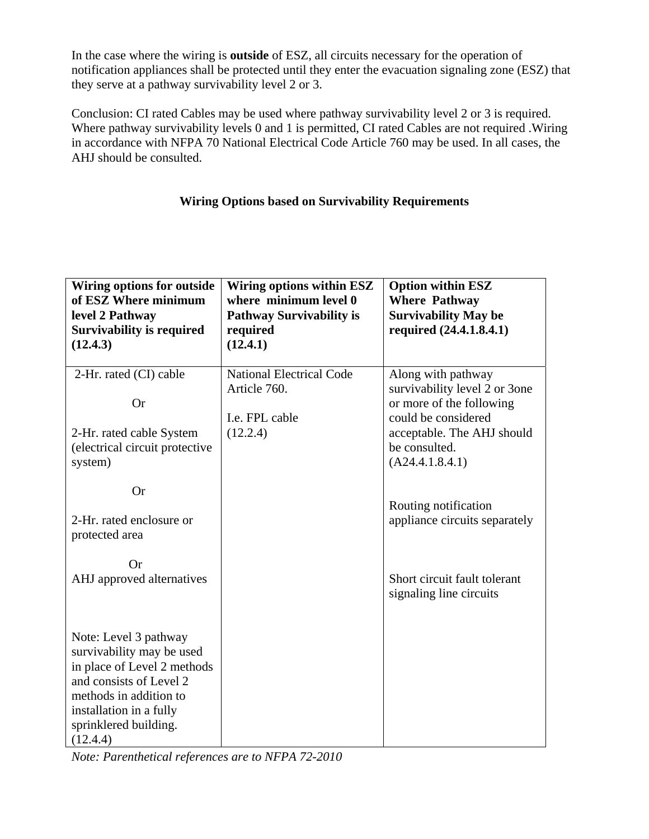In the case where the wiring is **outside** of ESZ, all circuits necessary for the operation of notification appliances shall be protected until they enter the evacuation signaling zone (ESZ) that they serve at a pathway survivability level 2 or 3.

Conclusion: CI rated Cables may be used where pathway survivability level 2 or 3 is required. Where pathway survivability levels 0 and 1 is permitted, CI rated Cables are not required .Wiring in accordance with NFPA 70 National Electrical Code Article 760 may be used. In all cases, the AHJ should be consulted.

# **Wiring Options based on Survivability Requirements**

| <b>Wiring options for outside</b><br>of ESZ Where minimum<br>level 2 Pathway<br><b>Survivability is required</b><br>(12.4.3)                                                                           | Wiring options within ESZ<br>where minimum level 0<br><b>Pathway Survivability is</b><br>required<br>(12.4.1) | <b>Option within ESZ</b><br><b>Where Pathway</b><br><b>Survivability May be</b><br>required (24.4.1.8.4.1)                                                               |
|--------------------------------------------------------------------------------------------------------------------------------------------------------------------------------------------------------|---------------------------------------------------------------------------------------------------------------|--------------------------------------------------------------------------------------------------------------------------------------------------------------------------|
| 2-Hr. rated (CI) cable<br><b>Or</b><br>2-Hr. rated cable System<br>(electrical circuit protective<br>system)                                                                                           | <b>National Electrical Code</b><br>Article 760.<br>I.e. FPL cable<br>(12.2.4)                                 | Along with pathway<br>survivability level 2 or 3one<br>or more of the following<br>could be considered<br>acceptable. The AHJ should<br>be consulted.<br>(A24.4.1.8.4.1) |
| <b>Or</b><br>2-Hr. rated enclosure or<br>protected area<br>Or<br>AHJ approved alternatives                                                                                                             |                                                                                                               | Routing notification<br>appliance circuits separately<br>Short circuit fault tolerant<br>signaling line circuits                                                         |
| Note: Level 3 pathway<br>survivability may be used<br>in place of Level 2 methods<br>and consists of Level 2<br>methods in addition to<br>installation in a fully<br>sprinklered building.<br>(12.4.4) |                                                                                                               |                                                                                                                                                                          |

*Note: Parenthetical references are to NFPA 72-2010*